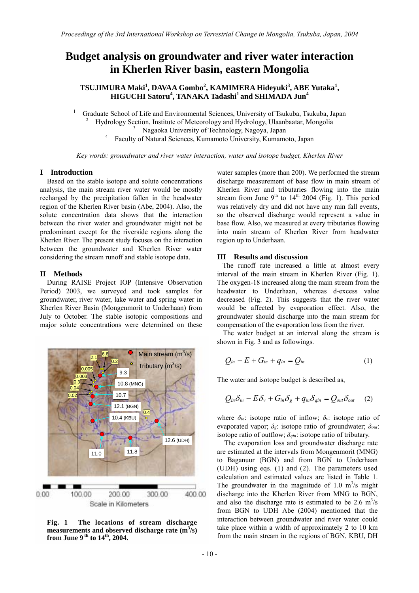# **Budget analysis on groundwater and river water interaction in Kherlen River basin, eastern Mongolia**

## **TSUJIMURA Maki<sup>1</sup> , DAVAA Gombo<sup>2</sup> , KAMIMERA Hideyuki<sup>3</sup> , ABE Yutaka<sup>1</sup> , HIGUCHI Satoru<sup>4</sup> , TANAKA Tadashi1 and SHIMADA Jun4**

1 Graduate School of Life and Environmental Sciences, University of Tsukuba, Tsukuba, Japan 2

Hydrology Section, Institute of Meteorology and Hydrology, Ulaanbaatar, Mongolia 3

Nagaoka University of Technology, Nagoya, Japan 4

Faculty of Natural Sciences, Kumamoto University, Kumamoto, Japan

*Key words: groundwater and river water interaction, water and isotope budget, Kherlen River* 

#### **I Introduction**

Based on the stable isotope and solute concentrations analysis, the main stream river water would be mostly recharged by the precipitation fallen in the headwater region of the Kherlen River basin (Abe, 2004). Also, the solute concentration data shows that the interaction between the river water and groundwater might not be predominant except for the riverside regions along the Kherlen River. The present study focuses on the interaction between the groundwater and Kherlen River water considering the stream runoff and stable isotope data.

#### **II Methods**

During RAISE Project IOP (Intensive Observation Period) 2003, we surveyed and took samples for groundwater, river water, lake water and spring water in Kherlen River Basin (Mongenmorit to Underhaan) from July to October. The stable isotopic compositions and major solute concentrations were determined on these



**Fig. 1 The locations of stream discharge**  measurements and observed discharge rate (m<sup>3</sup>/s) from June 9<sup>th</sup> to 14<sup>th</sup>, 2004.

water samples (more than 200). We performed the stream discharge measurement of base flow in main stream of Kherlen River and tributaries flowing into the main stream from June  $9<sup>th</sup>$  to  $14<sup>th</sup>$  2004 (Fig. 1). This period was relatively dry and did not have any rain fall events, so the observed discharge would represent a value in base flow. Also, we measured at every tributaries flowing into main stream of Kherlen River from headwater region up to Underhaan.

#### **III Results and discussion**

The runoff rate increased a little at almost every interval of the main stream in Kherlen River (Fig. 1). The oxygen-18 increased along the main stream from the headwater to Underhaan, whereas d-excess value decreased (Fig. 2). This suggests that the river water would be affected by evaporation effect. Also, the groundwater should discharge into the main stream for compensation of the evaporation loss from the river.

The water budget at an interval along the stream is shown in Fig. 3 and as followings.

$$
Q_{in}-E+G_{in}+q_{in}=Q_{in}
$$
 (1)

The water and isotope budget is described as,

$$
Q_{in}\delta_{in}-E\delta_v+G_{in}\delta_g+q_{in}\delta_{qin}=Q_{out}\delta_{out} \quad (2)
$$

where  $\delta_{in}$ : isotope ratio of inflow;  $\delta_{v}$ : isotope ratio of evaporated vapor; *δg*: isotope ratio of groundwater; *δout*: isotope ratio of outflow; *δqin*: isotope ratio of tributary.

The evaporation loss and groundwater discharge rate are estimated at the intervals from Mongenmorit (MNG) to Baganuur (BGN) and from BGN to Underhaan (UDH) using eqs. (1) and (2). The parameters used calculation and estimated values are listed in Table 1. The groundwater in the magnitude of 1.0  $m^3/s$  might discharge into the Kherlen River from MNG to BGN, and also the discharge rate is estimated to be  $2.6 \text{ m}^3/\text{s}$ from BGN to UDH Abe (2004) mentioned that the interaction between groundwater and river water could take place within a width of approximately 2 to 10 km from the main stream in the regions of BGN, KBU, DH